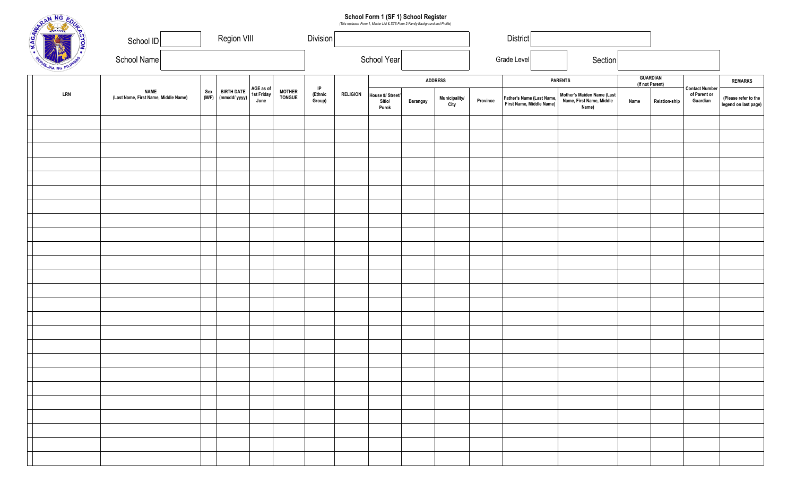|  |               | School Form 1 (SF 1) School Register<br>(This replaces Form 1, Master List & STS Form 2-Family Background and Profile)<br>Region VIII |              |                                    |                                 |                          |                         |                        |                                     |                 |                       |          |                                                       |                                                                 |      |                                    |                                                   |                                              |
|--|---------------|---------------------------------------------------------------------------------------------------------------------------------------|--------------|------------------------------------|---------------------------------|--------------------------|-------------------------|------------------------|-------------------------------------|-----------------|-----------------------|----------|-------------------------------------------------------|-----------------------------------------------------------------|------|------------------------------------|---------------------------------------------------|----------------------------------------------|
|  | MARIN NG EOUL | School ID                                                                                                                             | Division     |                                    |                                 |                          |                         | <b>District</b>        |                                     |                 |                       |          |                                                       |                                                                 |      |                                    |                                                   |                                              |
|  |               | School Name                                                                                                                           | School Year  |                                    |                                 |                          |                         | Grade Level<br>Section |                                     |                 |                       |          |                                                       |                                                                 |      |                                    |                                                   |                                              |
|  |               |                                                                                                                                       |              |                                    | AGE as of<br>1st Friday<br>June |                          |                         |                        | <b>ADDRESS</b>                      |                 |                       |          |                                                       | <b>PARENTS</b>                                                  |      | <b>GUARDIAN</b><br>(If not Parent) |                                                   | <b>REMARKS</b>                               |
|  | LRN           | <b>NAME</b><br>(Last Name, First Name, Middle Name)                                                                                   | Sex<br>(M/F) | <b>BIRTH DATE</b><br>(mm/dd/ yyyy) |                                 | <b>MOTHER<br/>TONGUE</b> | IP<br>(Ethnic<br>Group) | <b>RELIGION</b>        | House #/ Street/<br>Sitio/<br>Purok | <b>Barangay</b> | Municipality/<br>City | Province | Father's Name (Last Name,<br>First Name, Middle Name) | Mother's Maiden Name (Last<br>Name, First Name, Middle<br>Name) | Name | <b>Relation-ship</b>               | <b>Contact Number</b><br>of Parent or<br>Guardian | (Please refer to the<br>legend on last page) |
|  |               |                                                                                                                                       |              |                                    |                                 |                          |                         |                        |                                     |                 |                       |          |                                                       |                                                                 |      |                                    |                                                   |                                              |
|  |               |                                                                                                                                       |              |                                    |                                 |                          |                         |                        |                                     |                 |                       |          |                                                       |                                                                 |      |                                    |                                                   |                                              |
|  |               |                                                                                                                                       |              |                                    |                                 |                          |                         |                        |                                     |                 |                       |          |                                                       |                                                                 |      |                                    |                                                   |                                              |
|  |               |                                                                                                                                       |              |                                    |                                 |                          |                         |                        |                                     |                 |                       |          |                                                       |                                                                 |      |                                    |                                                   |                                              |
|  |               |                                                                                                                                       |              |                                    |                                 |                          |                         |                        |                                     |                 |                       |          |                                                       |                                                                 |      |                                    |                                                   |                                              |
|  |               |                                                                                                                                       |              |                                    |                                 |                          |                         |                        |                                     |                 |                       |          |                                                       |                                                                 |      |                                    |                                                   |                                              |
|  |               |                                                                                                                                       |              |                                    |                                 |                          |                         |                        |                                     |                 |                       |          |                                                       |                                                                 |      |                                    |                                                   |                                              |
|  |               |                                                                                                                                       |              |                                    |                                 |                          |                         |                        |                                     |                 |                       |          |                                                       |                                                                 |      |                                    |                                                   |                                              |
|  |               |                                                                                                                                       |              |                                    |                                 |                          |                         |                        |                                     |                 |                       |          |                                                       |                                                                 |      |                                    |                                                   |                                              |
|  |               |                                                                                                                                       |              |                                    |                                 |                          |                         |                        |                                     |                 |                       |          |                                                       |                                                                 |      |                                    |                                                   |                                              |
|  |               |                                                                                                                                       |              |                                    |                                 |                          |                         |                        |                                     |                 |                       |          |                                                       |                                                                 |      |                                    |                                                   |                                              |
|  |               |                                                                                                                                       |              |                                    |                                 |                          |                         |                        |                                     |                 |                       |          |                                                       |                                                                 |      |                                    |                                                   |                                              |
|  |               |                                                                                                                                       |              |                                    |                                 |                          |                         |                        |                                     |                 |                       |          |                                                       |                                                                 |      |                                    |                                                   |                                              |
|  |               |                                                                                                                                       |              |                                    |                                 |                          |                         |                        |                                     |                 |                       |          |                                                       |                                                                 |      |                                    |                                                   |                                              |
|  |               |                                                                                                                                       |              |                                    |                                 |                          |                         |                        |                                     |                 |                       |          |                                                       |                                                                 |      |                                    |                                                   |                                              |
|  |               |                                                                                                                                       |              |                                    |                                 |                          |                         |                        |                                     |                 |                       |          |                                                       |                                                                 |      |                                    |                                                   |                                              |
|  |               |                                                                                                                                       |              |                                    |                                 |                          |                         |                        |                                     |                 |                       |          |                                                       |                                                                 |      |                                    |                                                   |                                              |
|  |               |                                                                                                                                       |              |                                    |                                 |                          |                         |                        |                                     |                 |                       |          |                                                       |                                                                 |      |                                    |                                                   |                                              |
|  |               |                                                                                                                                       |              |                                    |                                 |                          |                         |                        |                                     |                 |                       |          |                                                       |                                                                 |      |                                    |                                                   |                                              |
|  |               |                                                                                                                                       |              |                                    |                                 |                          |                         |                        |                                     |                 |                       |          |                                                       |                                                                 |      |                                    |                                                   |                                              |
|  |               |                                                                                                                                       |              |                                    |                                 |                          |                         |                        |                                     |                 |                       |          |                                                       |                                                                 |      |                                    |                                                   |                                              |
|  |               |                                                                                                                                       |              |                                    |                                 |                          |                         |                        |                                     |                 |                       |          |                                                       |                                                                 |      |                                    |                                                   |                                              |